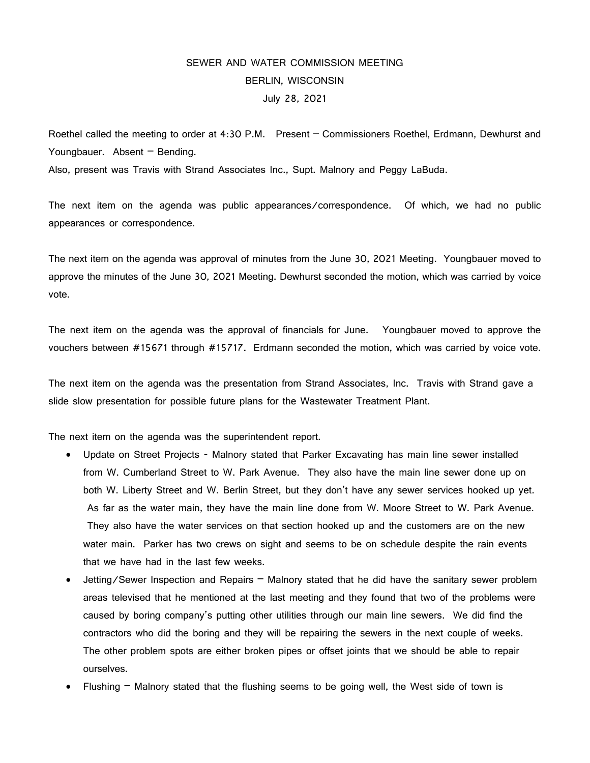## SEWER AND WATER COMMISSION MEETING BERLIN, WISCONSIN July 28, 2021

Roethel called the meeting to order at 4:30 P.M. Present – Commissioners Roethel, Erdmann, Dewhurst and Youngbauer. Absent - Bending.

Also, present was Travis with Strand Associates Inc., Supt. Malnory and Peggy LaBuda.

The next item on the agenda was public appearances/correspondence. Of which, we had no public appearances or correspondence.

The next item on the agenda was approval of minutes from the June 30, 2021 Meeting. Youngbauer moved to approve the minutes of the June 30, 2021 Meeting. Dewhurst seconded the motion, which was carried by voice vote.

The next item on the agenda was the approval of financials for June. Youngbauer moved to approve the vouchers between #15671 through #15717. Erdmann seconded the motion, which was carried by voice vote.

The next item on the agenda was the presentation from Strand Associates, Inc. Travis with Strand gave a slide slow presentation for possible future plans for the Wastewater Treatment Plant.

The next item on the agenda was the superintendent report.

- Update on Street Projects Malnory stated that Parker Excavating has main line sewer installed from W. Cumberland Street to W. Park Avenue. They also have the main line sewer done up on both W. Liberty Street and W. Berlin Street, but they don't have any sewer services hooked up yet. As far as the water main, they have the main line done from W. Moore Street to W. Park Avenue. They also have the water services on that section hooked up and the customers are on the new water main. Parker has two crews on sight and seems to be on schedule despite the rain events that we have had in the last few weeks.
- Jetting/Sewer Inspection and Repairs Malnory stated that he did have the sanitary sewer problem areas televised that he mentioned at the last meeting and they found that two of the problems were caused by boring company's putting other utilities through our main line sewers. We did find the contractors who did the boring and they will be repairing the sewers in the next couple of weeks. The other problem spots are either broken pipes or offset joints that we should be able to repair ourselves.
- Flushing  $-$  Malnory stated that the flushing seems to be going well, the West side of town is